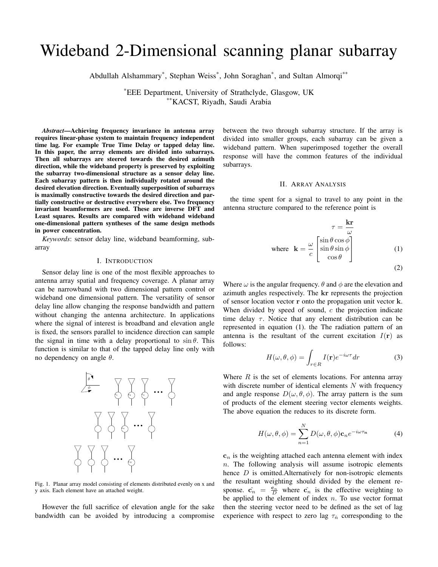# Wideband 2-Dimensional scanning planar subarray

Abdullah Alshammary\* , Stephan Weiss\* , John Soraghan\* , and Sultan Almorqi\*\*

\*EEE Department, University of Strathclyde, Glasgow, UK \*\*KACST, Riyadh, Saudi Arabia

*Abstract*—Achieving frequency invariance in antenna array requires linear-phase system to maintain frequency independent time lag. For example True Time Delay or tapped delay line. In this paper, the array elements are divided into subarrays. Then all subarrays are steered towards the desired azimuth direction, while the wideband property is preserved by exploiting the subarray two-dimensional structure as a sensor delay line. Each subarray pattern is then individually rotated around the desired elevation direction. Eventually superposition of subarrays is maximally constructive towards the desired direction and partially constructive or destructive everywhere else. Two frequency invariant beamformers are used. These are inverse DFT and Least squares. Results are compared with wideband wideband one-dimensional pattern syntheses of the same design methods in power concentration.

*Keywords*: sensor delay line, wideband beamforming, subarray

## I. INTRODUCTION

Sensor delay line is one of the most flexible approaches to antenna array spatial and frequency coverage. A planar array can be narrowband with two dimensional pattern control or wideband one dimensional pattern. The versatility of sensor delay line allow changing the response bandwidth and pattern without changing the antenna architecture. In applications where the signal of interest is broadband and elevation angle is fixed, the sensors parallel to incidence direction can sample the signal in time with a delay proportional to  $\sin \theta$ . This function is similar to that of the tapped delay line only with no dependency on angle  $θ$ .



Fig. 1. Planar array model consisting of elements distributed evenly on x and y axis. Each element have an attached weight.

However the full sacrifice of elevation angle for the sake bandwidth can be avoided by introducing a compromise between the two through subarray structure. If the array is divided into smaller groups, each subarray can be given a wideband pattern. When superimposed together the overall response will have the common features of the individual subarrays.

## II. ARRAY ANALYSIS

the time spent for a signal to travel to any point in the antenna structure compared to the reference point is

$$
\tau = \frac{\mathbf{k}\mathbf{r}}{\omega}
$$
  
where  $\mathbf{k} = \frac{\omega}{c} \begin{bmatrix} \sin \theta \cos \phi \\ \sin \theta \sin \phi \\ \cos \theta \end{bmatrix}$  (1)

$$
(2)
$$

Where  $\omega$  is the angular frequency.  $\theta$  and  $\phi$  are the elevation and azimuth angles respectively. The kr represents the projection of sensor location vector r onto the propagation unit vector k. When divided by speed of sound,  $c$  the projection indicate time delay  $\tau$ . Notice that any element distribution can be represented in equation (1). the The radiation pattern of an antenna is the resultant of the current excitation  $I(r)$  as follows:

$$
H(\omega, \theta, \phi) = \int_{r \in R} I(\mathbf{r}) e^{-i\omega \tau} dr \tag{3}
$$

Where  $R$  is the set of elements locations. For antenna array with discrete number of identical elements  $N$  with frequency and angle response  $D(\omega, \theta, \phi)$ . The array pattern is the sum of products of the element steering vector elements weights. The above equation the reduces to its discrete form.

$$
H(\omega, \theta, \phi) = \sum_{n=1}^{N} D(\omega, \theta, \phi) \mathbf{c}_n e^{-i\omega \tau_n}
$$
 (4)

 $c_n$  is the weighting attached each antenna element with index  $n$ . The following analysis will assume isotropic elements hence  $D$  is omitted. Alternatively for non-isotropic elements the resultant weighting should divided by the element response.  $\hat{\mathbf{c}}_n = \frac{\mathbf{c}_n}{D}$  where  $\hat{\mathbf{c}}_n$  is the effective weighting to be applied to the element of index  $n$ . To use vector format then the steering vector need to be defined as the set of lag experience with respect to zero lag  $\tau_n$  corresponding to the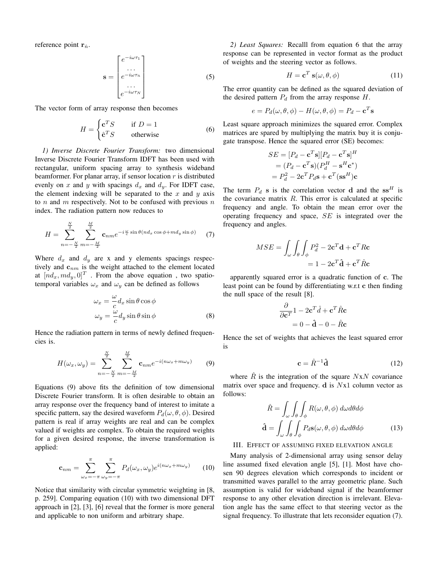reference point  $\mathbf{r}_n$ .

$$
\mathbf{s} = \begin{bmatrix} e^{-i\omega\tau_1} \\ \vdots \\ e^{-i\omega\tau_n} \\ \vdots \\ e^{-i\omega\tau_N} \end{bmatrix}
$$
 (5)

The vector form of array response then becomes

$$
H = \begin{cases} \mathbf{c}^T S & \text{if } D = 1\\ \hat{\mathbf{c}}^T S & \text{otherwise} \end{cases}
$$
 (6)

*1) Inverse Discrete Fourier Transform:* two dimensional Inverse Discrete Fourier Transform IDFT has been used with rectangular, uniform spacing array to synthesis wideband beamformer. For planar array, if sensor location  $r$  is distributed evenly on x and y with spacings  $d_x$  and  $d_y$ . For IDFT case, the element indexing will be separated to the  $x$  and  $y$  axis to  $n$  and  $m$  respectively. Not to be confused with previous  $n$ index. The radiation pattern now reduces to

$$
H = \sum_{n=-\frac{N}{2}}^{\frac{N}{2}} \sum_{m=-\frac{M}{2}}^{\frac{M}{2}} \mathbf{c}_{nm} e^{-i\frac{\omega}{c} \sin \theta (n d_x \cos \phi + m d_y \sin \phi)}
$$
(7)

Where  $d_x$  and  $d_y$  are x and y elements spacings respectively and  $c_{nm}$  is the weight attached to the element located at  $[nd_x, md_y, 0]^T$ . From the above equation, two spatiotemporal variables  $\omega_x$  and  $\omega_y$  can be defined as follows

$$
\omega_x = -\frac{\omega}{c} d_x \sin \theta \cos \phi \n\omega_y = -\frac{\omega}{c} d_y \sin \theta \sin \phi
$$
\n(8)

Hence the radiation pattern in terms of newly defined frequencies is.

$$
H(\omega_x, \omega_y) = \sum_{n=-\frac{N}{2}}^{\frac{N}{2}} \sum_{m=-\frac{M}{2}}^{\frac{M}{2}} \mathbf{c}_{nm} e^{-i(n\omega_x + m\omega_y)}
$$
(9)

Equations (9) above fits the definition of tow dimensional Discrete Fourier transform. It is often desirable to obtain an array response over the frequency band of interest to imitate a specific pattern, say the desired waveform  $P_d(\omega, \theta, \phi)$ . Desired pattern is real if array weights are real and can be complex valued if weights are complex. To obtain the required weights for a given desired response, the inverse transformation is applied:

$$
\mathbf{c}_{nm} = \sum_{\omega_x = -\pi}^{\pi} \sum_{\omega_y = -\pi}^{\pi} P_d(\omega_x, \omega_y) e^{i(n\omega_x + m\omega_y)} \qquad (10)
$$

Notice that similarity with circular symmetric weighting in [8, p. 259]. Comparing equation (10) with two dimensional DFT approach in [2], [3], [6] reveal that the former is more general and applicable to non uniform and arbitrary shape.

*2) Least Squares:* Recalll from equation 6 that the array response can be represented in vector format as the product of weights and the steering vector as follows.

$$
H = \mathbf{c}^T \mathbf{s}(\omega, \theta, \phi) \tag{11}
$$

The error quantity can be defined as the squared deviation of the desired pattern  $P_d$  from the array response  $H$ .

$$
e = P_d(\omega, \theta, \phi) - H(\omega, \theta, \phi) = P_d - \mathbf{c}^T \mathbf{s}
$$

Least square approach minimizes the squared error. Complex matrices are spared by multiplying the matrix buy it is conjugate transpose. Hence the squared error (SE) becomes:

$$
SE = [P_d - \mathbf{c}^T \mathbf{s}][P_d - \mathbf{c}^T \mathbf{s}]^H
$$
  
=  $(P_d - \mathbf{c}^T \mathbf{s})(P_d^H - \mathbf{s}^H \mathbf{c}^*)$   
=  $P_d^2 - 2\mathbf{c}^T P_d \mathbf{s} + \mathbf{c}^T (\mathbf{s} \mathbf{s}^H) \mathbf{c}$ 

The term  $P_d$  s is the correlation vector d and the ss<sup>H</sup> is the covariance matrix  $R$ . This error is calculated at specific frequency and angle. To obtain the mean error over the operating frequency and space, SE is integrated over the frequency and angles.

$$
MSE = \int_{\omega} \int_{\theta} \int_{\phi} P_d^2 - 2\mathbf{c}^T \mathbf{d} + \mathbf{c}^T R \mathbf{c}
$$

$$
= 1 - 2\mathbf{c}^T \hat{\mathbf{d}} + \mathbf{c}^T \hat{R} \mathbf{c}
$$

apparently squared error is a quadratic function of c. The least point can be found by differentiating w.r.t c then finding the null space of the result [8].

$$
\frac{\partial}{\partial \mathbf{c}^T} \mathbf{1} - 2\mathbf{c}^T \hat{d} + \mathbf{c}^T \hat{R} \mathbf{c}
$$

$$
= 0 - \hat{\mathbf{d}} - 0 - \hat{R} \mathbf{c}
$$

Hence the set of weights that achieves the least squared error is

$$
\mathbf{c} = \hat{R}^{-1}\hat{\mathbf{d}} \tag{12}
$$

where  $\hat{R}$  is the integration of the square  $NxN$  covariance matrix over space and frequency.  $d$  is  $Nx1$  column vector as follows:

$$
\hat{R} = \int_{\omega} \int_{\theta} \int_{\phi} R(\omega, \theta, \phi) d\omega d\theta d\phi
$$

$$
\hat{\mathbf{d}} = \int_{\omega} \int_{\theta} \int_{\phi} P_d \mathbf{s}(\omega, \theta, \phi) d\omega d\theta d\phi
$$
(13)

## III. EFFECT OF ASSUMING FIXED ELEVATION ANGLE

Many analysis of 2-dimensional array using sensor delay line assumed fixed elevation angle [5], [1]. Most have chosen 90 degrees elevation which corresponds to incident or transmitted waves parallel to the array geometric plane. Such assumption is valid for wideband signal if the beamformer response to any other elevation direction is irrelevant. Elevation angle has the same effect to that steering vector as the signal frequency. To illustrate that lets reconsider equation (7).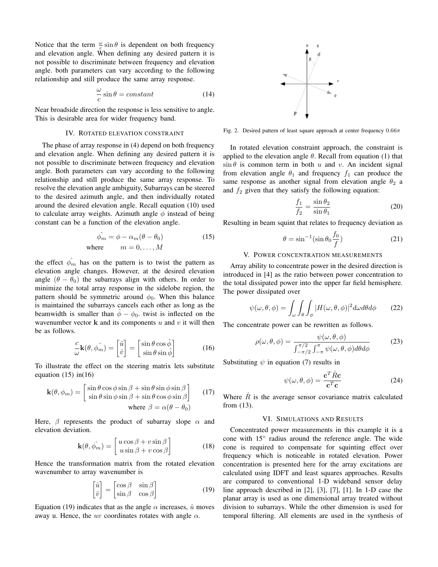Notice that the term  $\frac{\omega}{c} \sin \theta$  is dependent on both frequency and elevation angle. When defining any desired pattern it is not possible to discriminate between frequency and elevation angle. both parameters can vary according to the following relationship and still produce the same array response.

$$
\frac{\omega}{c}\sin\theta = constant\tag{14}
$$

Near broadside direction the response is less sensitive to angle. This is desirable area for wider frequency band.

## IV. ROTATED ELEVATION CONSTRAINT

The phase of array response in (4) depend on both frequency and elevation angle. When defining any desired pattern it is not possible to discriminate between frequency and elevation angle. Both parameters can vary according to the following relationship and still produce the same array response. To resolve the elevation angle ambiguity, Subarrays can be steered to the desired azimuth angle, and then individually rotated around the desired elevation angle. Recall equation (10) used to calculate array weights. Azimuth angle  $\phi$  instead of being constant can be a function of the elevation angle.

$$
\hat{\phi_m} = \phi - \alpha_m(\theta - \theta_0)
$$
\nwhere\n
$$
m = 0, \dots, M
$$
\n(15)

the effect  $\phi_m$  has on the pattern is to twist the pattern as elevation angle changes. However, at the desired elevation angle  $(\theta - \theta_0)$  the subarrays align with others. In order to minimize the total array response in the sidelobe region, the pattern should be symmetric around  $\phi_0$ . When this balance is maintained the subarrays cancels each other as long as the beamwidth is smaller than  $\ddot{\phi} - \phi_0$ . twist is inflected on the wavenumber vector  $k$  and its components  $u$  and  $v$  it will then be as follows.

$$
\frac{c}{\omega} \mathbf{k}(\theta, \hat{\phi_m}) = \begin{bmatrix} \hat{u} \\ \hat{v} \end{bmatrix} = \begin{bmatrix} \sin \theta \cos \hat{\phi} \\ \sin \theta \sin \hat{\phi} \end{bmatrix}
$$
(16)

To illustrate the effect on the steering matrix lets substitute equation  $(15)$  in $(16)$ 

$$
\mathbf{k}(\theta, \phi_m) = \begin{bmatrix} \sin \theta \cos \phi \sin \beta + \sin \theta \sin \phi \sin \beta \\ \sin \theta \sin \phi \sin \beta + \sin \theta \cos \phi \sin \beta \end{bmatrix}
$$
 (17)  
where  $\beta = \alpha(\theta - \theta_0)$ 

Here,  $\beta$  represents the product of subarray slope  $\alpha$  and elevation deviation.

$$
\mathbf{k}(\theta, \hat{\phi_m}) = \begin{bmatrix} u \cos \beta + v \sin \beta \\ u \sin \beta + v \cos \beta \end{bmatrix}
$$
 (18)

Hence the transformation matrix from the rotated elevation wavenumber to array wavenumber is

$$
\begin{bmatrix} \hat{u} \\ \hat{v} \end{bmatrix} = \begin{bmatrix} \cos \beta & \sin \beta \\ \sin \beta & \cos \beta \end{bmatrix}
$$
 (19)

Equation (19) indicates that as the angle  $\alpha$  increases,  $\hat{u}$  moves away u. Hence, the uv coordinates rotates with angle  $\alpha$ .



Fig. 2. Desired pattern of least square approach at center frequency  $0.66\pi$ 

In rotated elevation constraint approach, the constraint is applied to the elevation angle  $\theta$ . Recall from equation (1) that  $\sin \theta$  is common term in both u and v. An incident signal from elevation angle  $\theta_1$  and frequency  $f_1$  can produce the same response as another signal from elevation angle  $\theta_2$  a and  $f_2$  given that they satisfy the following equation:

$$
\frac{f_1}{f_2} = \frac{\sin \theta_2}{\sin \theta_1} \tag{20}
$$

Resulting in beam squint that relates to frequency deviation as

$$
\theta = \sin^{-1}(\sin \theta_0 \frac{f_0}{f})
$$
\n(21)

## V. POWER CONCENTRATION MEASUREMENTS

Array ability to concentrate power in the desired direction is introduced in [4] as the ratio between power concentration to the total dissipated power into the upper far field hemisphere. The power dissipated over

$$
\psi(\omega,\theta,\phi) = \int_{\omega} \int_{\theta} \int_{\phi} |H(\omega,\theta,\phi)|^2 d\omega d\theta d\phi \qquad (22)
$$

The concentrate power can be rewritten as follows.

$$
\rho(\omega,\theta,\phi) = \frac{\psi(\omega,\theta,\phi)}{\int_{-\pi/2}^{\pi/2} \int_{-\pi}^{\pi} \psi(\omega,\theta,\phi) d\theta d\phi}
$$
(23)

Substituting  $\psi$  in equation (7) results in

$$
\psi(\omega,\theta,\phi) = \frac{\mathbf{c}^T \hat{R} \mathbf{c}}{\mathbf{c}^T \mathbf{c}}
$$
 (24)

Where  $\hat{R}$  is the average sensor covariance matrix calculated from (13).

#### VI. SIMULATIONS AND RESULTS

Concentrated power measurements in this example it is a cone with 15° radius around the reference angle. The wide cone is required to compensate for squinting effect over frequency which is noticeable in rotated elevation. Power concentration is presented here for the array excitations are calculated using IDFT and least squares approaches. Results are compared to conventional 1-D wideband sensor delay line approach described in [2], [3], [7], [1]. In 1-D case the planar array is used as one dimensional array treated without division to subarrays. While the other dimension is used for temporal filtering. All elements are used in the synthesis of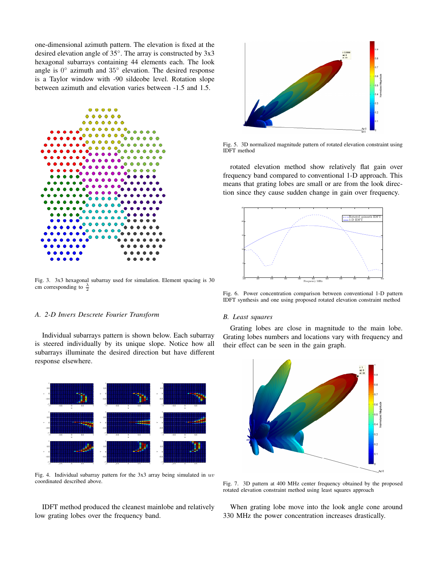one-dimensional azimuth pattern. The elevation is fixed at the desired elevation angle of 35◦ . The array is constructed by 3x3 hexagonal subarrays containing 44 elements each. The look angle is  $0^{\circ}$  azimuth and  $35^{\circ}$  elevation. The desired response is a Taylor window with -90 sildeobe level. Rotation slope between azimuth and elevation varies between -1.5 and 1.5.



Fig. 3. 3x3 hexagonal subarray used for simulation. Element spacing is 30 cm corresponding to  $\frac{\lambda}{2}$ 

## *A. 2-D Invers Descrete Fourier Transform*

Individual subarrays pattern is shown below. Each subarray is steered individually by its unique slope. Notice how all subarrays illuminate the desired direction but have different response elsewhere.



Fig. 4. Individual subarray pattern for the  $3x3$  array being simulated in  $uv$ coordinated described above.

IDFT method produced the cleanest mainlobe and relatively low grating lobes over the frequency band.



Fig. 5. 3D normalized magnitude pattern of rotated elevation constraint using IDFT method

rotated elevation method show relatively flat gain over frequency band compared to conventional 1-D approach. This means that grating lobes are small or are from the look direction since they cause sudden change in gain over frequency.



Fig. 6. Power concentration comparison between conventional 1-D pattern IDFT synthesis and one using proposed rotated elevation constraint method

#### *B. Least squares*

Grating lobes are close in magnitude to the main lobe. Grating lobes numbers and locations vary with frequency and their effect can be seen in the gain graph.



Fig. 7. 3D pattern at 400 MHz center frequency obtained by the proposed rotated elevation constraint method using least squares approach

When grating lobe move into the look angle cone around 330 MHz the power concentration increases drastically.